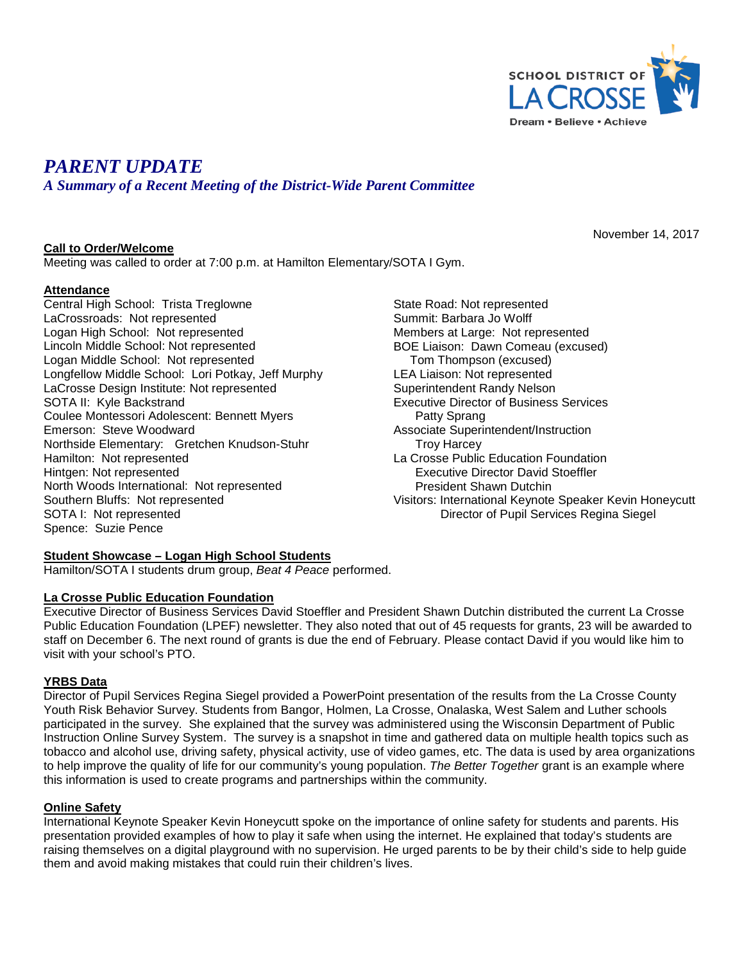

November 14, 2017

# *PARENT UPDATE*

*A Summary of a Recent Meeting of the District-Wide Parent Committee*

## **Call to Order/Welcome**

Meeting was called to order at 7:00 p.m. at Hamilton Elementary/SOTA I Gym.

# **Attendance**

Central High School: Trista Treglowne LaCrossroads: Not represented Logan High School: Not represented Lincoln Middle School: Not represented Logan Middle School: Not represented Longfellow Middle School: Lori Potkay, Jeff Murphy LaCrosse Design Institute: Not represented SOTA II: Kyle Backstrand Coulee Montessori Adolescent: Bennett Myers Emerson: Steve Woodward Northside Elementary: Gretchen Knudson-Stuhr Hamilton: Not represented Hintgen: Not represented North Woods International: Not represented Southern Bluffs: Not represented SOTA I: Not represented Spence: Suzie Pence

State Road: Not represented Summit: Barbara Jo Wolff Members at Large: Not represented BOE Liaison: Dawn Comeau (excused) Tom Thompson (excused) LEA Liaison: Not represented Superintendent Randy Nelson Executive Director of Business Services Patty Sprang Associate Superintendent/Instruction Troy Harcey La Crosse Public Education Foundation Executive Director David Stoeffler President Shawn Dutchin Visitors: International Keynote Speaker Kevin Honeycutt Director of Pupil Services Regina Siegel

#### **Student Showcase – Logan High School Students**

Hamilton/SOTA I students drum group, *Beat 4 Peace* performed.

## **La Crosse Public Education Foundation**

Executive Director of Business Services David Stoeffler and President Shawn Dutchin distributed the current La Crosse Public Education Foundation (LPEF) newsletter. They also noted that out of 45 requests for grants, 23 will be awarded to staff on December 6. The next round of grants is due the end of February. Please contact David if you would like him to visit with your school's PTO.

# **YRBS Data**

Director of Pupil Services Regina Siegel provided a PowerPoint presentation of the results from the La Crosse County Youth Risk Behavior Survey. Students from Bangor, Holmen, La Crosse, Onalaska, West Salem and Luther schools participated in the survey. She explained that the survey was administered using the Wisconsin Department of Public Instruction Online Survey System. The survey is a snapshot in time and gathered data on multiple health topics such as tobacco and alcohol use, driving safety, physical activity, use of video games, etc. The data is used by area organizations to help improve the quality of life for our community's young population. *The Better Together* grant is an example where this information is used to create programs and partnerships within the community.

#### **Online Safety**

International Keynote Speaker Kevin Honeycutt spoke on the importance of online safety for students and parents. His presentation provided examples of how to play it safe when using the internet. He explained that today's students are raising themselves on a digital playground with no supervision. He urged parents to be by their child's side to help guide them and avoid making mistakes that could ruin their children's lives.